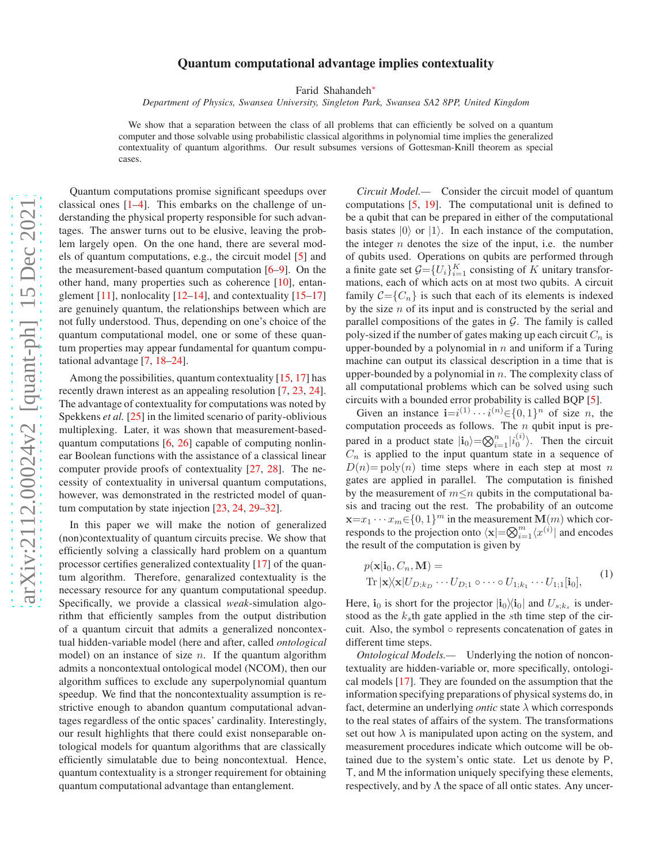## Quantum computational advantage implies contextuality

Farid Shahandeh[∗](#page-4-0)

*Department of Physics, Swansea University, Singleton Park, Swansea SA2 8PP, United Kingdom*

We show that a separation between the class of all problems that can efficiently be solved on a quantum computer and those solvable using probabilistic classical algorithms in polynomial time implies the generalized contextuality of quantum algorithms. Our result subsumes versions of Gottesman-Knill theorem as special cases.

Quantum computations promise significant speedups over classical ones [\[1](#page-4-1)[–4\]](#page-4-2). This embarks on the challenge of understanding the physical property responsible for such advantages. The answer turns out to be elusive, leaving the problem largely open. On the one hand, there are several models of quantum computations, e.g., the circuit model [\[5](#page-4-3)] and the measurement-based quantum computation [\[6](#page-4-4)[–9\]](#page-4-5). On the other hand, many properties such as coherence [\[10\]](#page-4-6), entanglement  $[11]$ , nonlocality  $[12-14]$ , and contextuality  $[15-17]$  $[15-17]$ are genuinely quantum, the relationships between which are not fully understood. Thus, depending on one's choice of the quantum computational model, one or some of these quantum properties may appear fundamental for quantum computational advantage [\[7](#page-4-12), [18](#page-4-13)[–24](#page-4-14)].

Among the possibilities, quantum contextuality [\[15](#page-4-10), [17\]](#page-4-11) has recently drawn interest as an appealing resolution [\[7](#page-4-12), [23](#page-4-15), [24](#page-4-14)]. The advantage of contextuality for computations was noted by Spekkens *et al.* [\[25\]](#page-4-16) in the limited scenario of parity-oblivious multiplexing. Later, it was shown that measurement-basedquantum computations [\[6](#page-4-4), [26\]](#page-4-17) capable of computing nonlinear Boolean functions with the assistance of a classical linear computer provide proofs of contextuality [\[27,](#page-4-18) [28](#page-4-19)]. The necessity of contextuality in universal quantum computations, however, was demonstrated in the restricted model of quantum computation by state injection [\[23](#page-4-15), [24](#page-4-14), [29](#page-4-20)[–32\]](#page-4-21).

In this paper we will make the notion of generalized (non)contextuality of quantum circuits precise. We show that efficiently solving a classically hard problem on a quantum processor certifies generalized contextuality [\[17\]](#page-4-11) of the quantum algorithm. Therefore, genaralized contextuality is the necessary resource for any quantum computational speedup. Specifically, we provide a classical *weak*-simulation algorithm that efficiently samples from the output distribution of a quantum circuit that admits a generalized noncontextual hidden-variable model (here and after, called *ontological* model) on an instance of size  $n$ . If the quantum algorithm admits a noncontextual ontological model (NCOM), then our algorithm suffices to exclude any superpolynomial quantum speedup. We find that the noncontextuality assumption is restrictive enough to abandon quantum computational advantages regardless of the ontic spaces' cardinality. Interestingly, our result highlights that there could exist nonseparable ontological models for quantum algorithms that are classically efficiently simulatable due to being noncontextual. Hence, quantum contextuality is a stronger requirement for obtaining quantum computational advantage than entanglement.

*Circuit Model.—* Consider the circuit model of quantum computations [\[5,](#page-4-3) [19](#page-4-22)]. The computational unit is defined to be a qubit that can be prepared in either of the computational basis states  $|0\rangle$  or  $|1\rangle$ . In each instance of the computation, the integer  $n$  denotes the size of the input, i.e. the number of qubits used. Operations on qubits are performed through a finite gate set  $G = \{U_i\}_{i=1}^K$  consisting of K unitary transformations, each of which acts on at most two qubits. A circuit family  $C = \{C_n\}$  is such that each of its elements is indexed by the size  $n$  of its input and is constructed by the serial and parallel compositions of the gates in  $G$ . The family is called poly-sized if the number of gates making up each circuit  $C_n$  is upper-bounded by a polynomial in  $n$  and uniform if a Turing machine can output its classical description in a time that is upper-bounded by a polynomial in  $n$ . The complexity class of all computational problems which can be solved using such circuits with a bounded error probability is called BQP [\[5](#page-4-3)].

Given an instance  $\mathbf{i}=i^{(1)}\cdots i^{(n)}\in\{0,1\}^n$  of size *n*, the computation proceeds as follows. The  $n$  qubit input is prepared in a product state  $|i_0\rangle = \bigotimes_{i=1}^n |i_0^{(i)}\rangle$ . Then the circuit  $C_n$  is applied to the input quantum state in a sequence of  $D(n)$ = poly $(n)$  time steps where in each step at most n gates are applied in parallel. The computation is finished by the measurement of  $m \leq n$  qubits in the computational basis and tracing out the rest. The probability of an outcome  $\mathbf{x} = x_1 \cdots x_m \in \{0, 1\}^m$  in the measurement  $\mathbf{M}(m)$  which corresponds to the projection onto  $\langle \mathbf{x} | = \bigotimes_{i=1}^{m} \langle x^{(i)} |$  and encodes the result of the computation is given by

<span id="page-0-0"></span>
$$
p(\mathbf{x}|\mathbf{i}_0, C_n, \mathbf{M}) =
$$
  
Tr  $|\mathbf{x}| \mathbf{x} | U_{D;k_D} \cdots U_{D;1} \circ \cdots \circ U_{1;k_1} \cdots U_{1;1}[\mathbf{i}_0],$  (1)

Here,  $\mathbf{i}_0$  is short for the projector  $|\mathbf{i}_0\rangle\langle \mathbf{i}_0|$  and  $U_{s;k_s}$  is understood as the  $k<sub>s</sub>$ th gate applied in the sth time step of the circuit. Also, the symbol ◦ represents concatenation of gates in different time steps.

*Ontological Models.—* Underlying the notion of noncontextuality are hidden-variable or, more specifically, ontological models [\[17\]](#page-4-11). They are founded on the assumption that the information specifying preparations of physical systems do, in fact, determine an underlying *ontic* state λ which corresponds to the real states of affairs of the system. The transformations set out how  $\lambda$  is manipulated upon acting on the system, and measurement procedures indicate which outcome will be obtained due to the system's ontic state. Let us denote by P, T, and M the information uniquely specifying these elements, respectively, and by  $\Lambda$  the space of all ontic states. Any uncer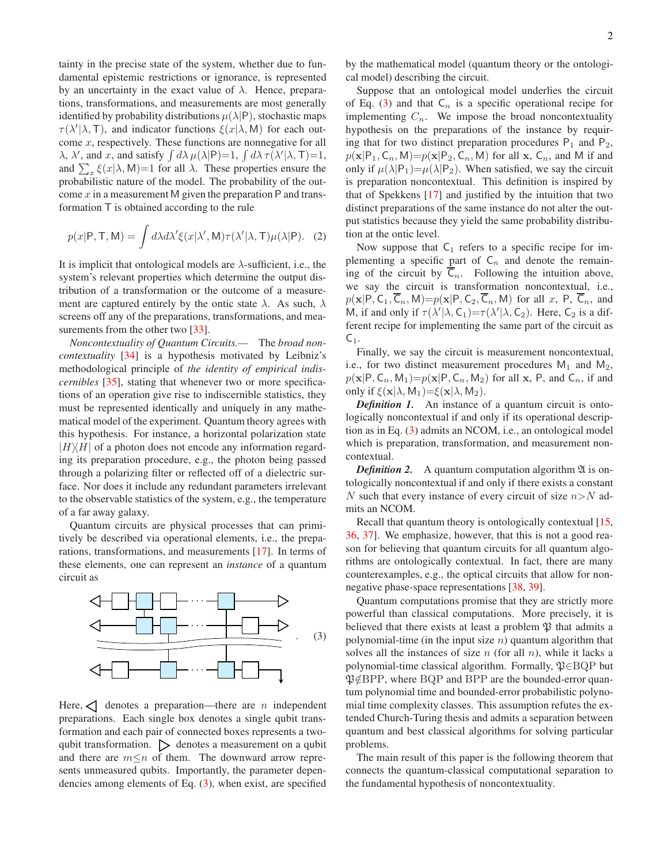tainty in the precise state of the system, whether due to fundamental epistemic restrictions or ignorance, is represented by an uncertainty in the exact value of  $\lambda$ . Hence, preparations, transformations, and measurements are most generally identified by probability distributions  $\mu(\lambda|P)$ , stochastic maps  $\tau(\lambda'|\lambda, T)$ , and indicator functions  $\xi(x|\lambda, M)$  for each outcome  $x$ , respectively. These functions are nonnegative for all  $\lambda$ ,  $\lambda'$ , and  $x$ , and satisfy  $\int d\lambda \, \mu(\lambda | P) = 1$ ,  $\int d\lambda \, \tau(\lambda' | \lambda, T) = 1$ , and  $\sum_x \xi(x|\lambda, M)=1$  for all  $\lambda$ . These properties ensure the probabilistic nature of the model. The probability of the outcome x in a measurement M given the preparation  $P$  and transformation T is obtained according to the rule

<span id="page-1-1"></span>
$$
p(x|P, T, M) = \int d\lambda d\lambda' \xi(x|\lambda', M) \tau(\lambda'|\lambda, T) \mu(\lambda|P). \quad (2)
$$

It is implicit that ontological models are  $\lambda$ -sufficient, i.e., the system's relevant properties which determine the output distribution of a transformation or the outcome of a measurement are captured entirely by the ontic state  $\lambda$ . As such,  $\lambda$ screens off any of the preparations, transformations, and mea-surements from the other two [\[33\]](#page-4-23).

*Noncontextuality of Quantum Circuits.—* The *broad noncontextuality* [\[34\]](#page-4-24) is a hypothesis motivated by Leibniz's methodological principle of *the identity of empirical indiscernibles* [\[35](#page-4-25)], stating that whenever two or more specifications of an operation give rise to indiscernible statistics, they must be represented identically and uniquely in any mathematical model of the experiment. Quantum theory agrees with this hypothesis. For instance, a horizontal polarization state  $|H\rangle\langle H|$  of a photon does not encode any information regarding its preparation procedure, e.g., the photon being passed through a polarizing filter or reflected off of a dielectric surface. Nor does it include any redundant parameters irrelevant to the observable statistics of the system, e.g., the temperature of a far away galaxy.

Quantum circuits are physical processes that can primitively be described via operational elements, i.e., the preparations, transformations, and measurements [\[17\]](#page-4-11). In terms of these elements, one can represent an *instance* of a quantum circuit as

<span id="page-1-0"></span>

Here,  $\leq$  denotes a preparation—there are *n* independent preparations. Each single box denotes a single qubit transformation and each pair of connected boxes represents a twoqubit transformation.  $\triangleright$  denotes a measurement on a qubit and there are  $m \leq n$  of them. The downward arrow represents unmeasured qubits. Importantly, the parameter dependencies among elements of Eq. [\(3\)](#page-1-0), when exist, are specified

by the mathematical model (quantum theory or the ontological model) describing the circuit.

Suppose that an ontological model underlies the circuit of Eq. [\(3\)](#page-1-0) and that  $C_n$  is a specific operational recipe for implementing  $C_n$ . We impose the broad noncontextuality hypothesis on the preparations of the instance by requiring that for two distinct preparation procedures  $P_1$  and  $P_2$ ,  $p(\mathbf{x}|\mathsf{P}_1, \mathsf{C}_n, \mathsf{M})=p(\mathbf{x}|\mathsf{P}_2, \mathsf{C}_n, \mathsf{M})$  for all x,  $\mathsf{C}_n$ , and M if and only if  $\mu(\lambda|P_1)=\mu(\lambda|P_2)$ . When satisfied, we say the circuit is preparation noncontextual. This definition is inspired by that of Spekkens [\[17](#page-4-11)] and justified by the intuition that two distinct preparations of the same instance do not alter the output statistics because they yield the same probability distribution at the ontic level.

Now suppose that  $C_1$  refers to a specific recipe for implementing a specific part of  $C_n$  and denote the remaining of the circuit by  $C_n$ . Following the intuition above, we say the circuit is transformation noncontextual, i.e.,  $p(\mathbf{x}|\mathsf{P}, \mathsf{C}_1, \overline{\mathsf{C}}_n, \mathsf{M}) = p(\mathbf{x}|\mathsf{P}, \mathsf{C}_2, \overline{\mathsf{C}}_n, \mathsf{M})$  for all x, P,  $\overline{\mathsf{C}}_n$ , and M, if and only if  $\tau(\lambda'|\lambda, C_1) = \tau(\lambda'|\lambda, C_2)$ . Here,  $C_2$  is a different recipe for implementing the same part of the circuit as  $C_1$ .

Finally, we say the circuit is measurement noncontextual, i.e., for two distinct measurement procedures  $M_1$  and  $M_2$ ,  $p(\mathbf{x}|\mathsf{P}, \mathsf{C}_n, \mathsf{M}_1)=p(\mathbf{x}|\mathsf{P}, \mathsf{C}_n, \mathsf{M}_2)$  for all x, P, and  $\mathsf{C}_n$ , if and only if  $\xi(\mathbf{x}|\lambda, \mathsf{M}_1)=\xi(\mathbf{x}|\lambda, \mathsf{M}_2)$ .

*Definition 1.* An instance of a quantum circuit is ontologically noncontextual if and only if its operational description as in Eq. [\(3\)](#page-1-0) admits an NCOM, i.e., an ontological model which is preparation, transformation, and measurement noncontextual.

*Definition 2.* A quantum computation algorithm  $\mathfrak{A}$  is ontologically noncontextual if and only if there exists a constant N such that every instance of every circuit of size  $n>N$  admits an NCOM.

Recall that quantum theory is ontologically contextual [\[15,](#page-4-10) [36](#page-4-26), [37\]](#page-4-27). We emphasize, however, that this is not a good reason for believing that quantum circuits for all quantum algorithms are ontologically contextual. In fact, there are many counterexamples, e.g., the optical circuits that allow for nonnegative phase-space representations [\[38,](#page-5-0) [39](#page-5-1)].

Quantum computations promise that they are strictly more powerful than classical computations. More precisely, it is believed that there exists at least a problem  $\mathfrak P$  that admits a polynomial-time (in the input size  $n$ ) quantum algorithm that solves all the instances of size  $n$  (for all  $n$ ), while it lacks a polynomial-time classical algorithm. Formally,  $\mathfrak{P} \in \mathbf{BQP}$  but  $\mathfrak{P}\notin$ BPP, where BQP and BPP are the bounded-error quantum polynomial time and bounded-error probabilistic polynomial time complexity classes. This assumption refutes the extended Church-Turing thesis and admits a separation between quantum and best classical algorithms for solving particular problems.

The main result of this paper is the following theorem that connects the quantum-classical computational separation to the fundamental hypothesis of noncontextuality.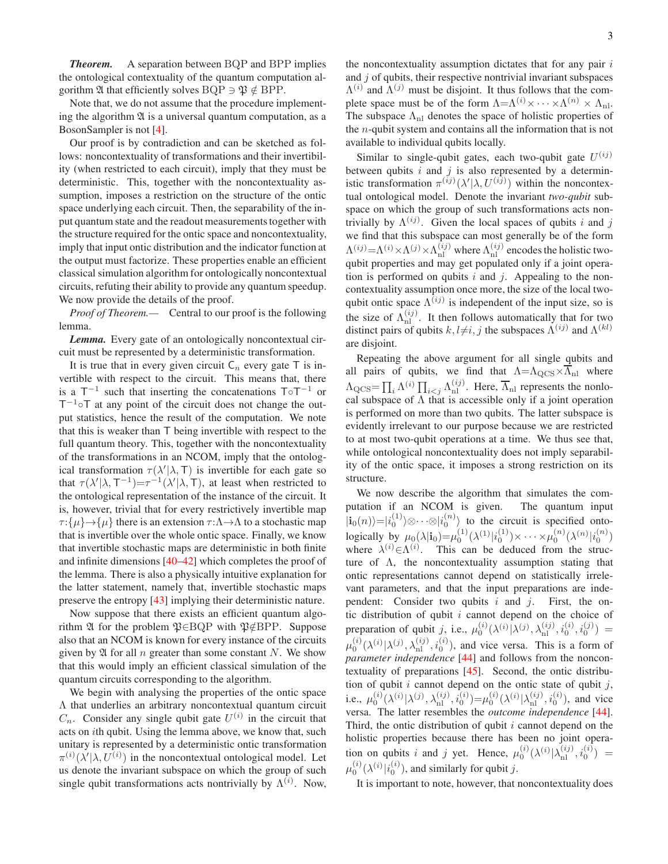*Theorem.* A separation between BQP and BPP implies the ontological contextuality of the quantum computation algorithm  $\mathfrak A$  that efficiently solves BQP  $\Rightarrow$   $\mathfrak P \notin$  BPP.

Note that, we do not assume that the procedure implementing the algorithm  $\mathfrak A$  is a universal quantum computation, as a BosonSampler is not [\[4\]](#page-4-2).

Our proof is by contradiction and can be sketched as follows: noncontextuality of transformations and their invertibility (when restricted to each circuit), imply that they must be deterministic. This, together with the noncontextuality assumption, imposes a restriction on the structure of the ontic space underlying each circuit. Then, the separability of the input quantum state and the readout measurements together with the structure required for the ontic space and noncontextuality, imply that input ontic distribution and the indicator function at the output must factorize. These properties enable an efficient classical simulation algorithm for ontologically noncontextual circuits, refuting their ability to provide any quantum speedup. We now provide the details of the proof.

*Proof of Theorem.—* Central to our proof is the following lemma.

*Lemma.* Every gate of an ontologically noncontextual circuit must be represented by a deterministic transformation.

It is true that in every given circuit  $C_n$  every gate T is invertible with respect to the circuit. This means that, there is a  $T^{-1}$  such that inserting the concatenations  $T \circ T^{-1}$  or  $T^{-1}$ ∘T at any point of the circuit does not change the output statistics, hence the result of the computation. We note that this is weaker than T being invertible with respect to the full quantum theory. This, together with the noncontextuality of the transformations in an NCOM, imply that the ontological transformation  $\tau(\lambda'|\lambda, T)$  is invertible for each gate so that  $\tau(\lambda'|\lambda, T^{-1}) = \tau^{-1}(\lambda'|\lambda, T)$ , at least when restricted to the ontological representation of the instance of the circuit. It is, however, trivial that for every restrictively invertible map  $\tau:\{\mu\} \to {\{\mu\}}$  there is an extension  $\tau:\Lambda \to \Lambda$  to a stochastic map that is invertible over the whole ontic space. Finally, we know that invertible stochastic maps are deterministic in both finite and infinite dimensions [\[40](#page-5-2)[–42](#page-5-3)] which completes the proof of the lemma. There is also a physically intuitive explanation for the latter statement, namely that, invertible stochastic maps preserve the entropy [\[43\]](#page-5-4) implying their deterministic nature.

Now suppose that there exists an efficient quantum algorithm  $\mathfrak A$  for the problem  $\mathfrak P \in \mathrm{BQP}$  with  $\mathfrak P \notin \mathrm{BPP}$ . Suppose also that an NCOM is known for every instance of the circuits given by  $\mathfrak A$  for all n greater than some constant N. We show that this would imply an efficient classical simulation of the quantum circuits corresponding to the algorithm.

We begin with analysing the properties of the ontic space Λ that underlies an arbitrary noncontextual quantum circuit  $C_n$ . Consider any single qubit gate  $U^{(i)}$  in the circuit that acts on ith qubit. Using the lemma above, we know that, such unitary is represented by a deterministic ontic transformation  $\pi^{(i)}(\lambda'|\lambda, U^{(i)})$  in the noncontextual ontological model. Let us denote the invariant subspace on which the group of such single qubit transformations acts nontrivially by  $\Lambda^{(i)}$ . Now,

the noncontextuality assumption dictates that for any pair  $i$ and  $j$  of qubits, their respective nontrivial invariant subspaces  $\Lambda^{(i)}$  and  $\Lambda^{(j)}$  must be disjoint. It thus follows that the complete space must be of the form  $\Lambda = \Lambda^{(i)} \times \cdots \times \Lambda^{(n)} \times \Lambda_{\text{n}}$ . The subspace  $\Lambda_{\rm nl}$  denotes the space of holistic properties of the *n*-qubit system and contains all the information that is not available to individual qubits locally.

Similar to single-qubit gates, each two-qubit gate  $U^{(ij)}$ between qubits  $i$  and  $j$  is also represented by a deterministic transformation  $\pi^{(ij)}(\lambda'|\lambda, U^{(ij)})$  within the noncontextual ontological model. Denote the invariant *two-qubit* subspace on which the group of such transformations acts nontrivially by  $\Lambda^{(ij)}$ . Given the local spaces of qubits i and j we find that this subspace can most generally be of the form  $\Lambda^{(ij)} = \Lambda^{(i)} \times \Lambda^{(j)} \times \Lambda^{(ij)}_{\text{nl}}$  where  $\Lambda^{(ij)}_{\text{nl}}$  encodes the holistic twoqubit properties and may get populated only if a joint operation is performed on qubits  $i$  and  $j$ . Appealing to the noncontextuality assumption once more, the size of the local twoqubit ontic space  $\Lambda^{(ij)}$  is independent of the input size, so is the size of  $\Lambda_{nl}^{(ij)}$ . It then follows automatically that for two distinct pairs of qubits  $k, l\neq i, j$  the subspaces  $\Lambda^{(ij)}$  and  $\Lambda^{(kl)}$ are disjoint.

Repeating the above argument for all single qubits and all pairs of qubits, we find that  $\Lambda = \Lambda_{QCS} \times \overline{\Lambda}_{nl}$  where  $\Lambda_{\text{QCS}} = \prod_i \Lambda^{(i)} \prod_{i < j} \Lambda_{\text{nl}}^{(ij)}$ . Here,  $\overline{\Lambda}_{\text{nl}}$  represents the nonlocal subspace of  $\Lambda$  that is accessible only if a joint operation is performed on more than two qubits. The latter subspace is evidently irrelevant to our purpose because we are restricted to at most two-qubit operations at a time. We thus see that, while ontological noncontextuality does not imply separability of the ontic space, it imposes a strong restriction on its structure.

We now describe the algorithm that simulates the computation if an NCOM is given. The quantum input  $|i_0(n)\rangle=|i_0^{(1)}\rangle\otimes\cdots\otimes|i_0^{(n)}\rangle$  to the circuit is specified ontologically by  $\mu_0(\lambda | \mathbf{i}_0) = \mu_0^{(1)}(\lambda^{(1)} | i_0^{(1)}) \times \cdots \times \mu_0^{(n)}(\lambda^{(n)} | i_0^{(n)})$ where  $\lambda^{(i)} \in \Lambda^{(i)}$ . This can be deduced from the structure of  $\Lambda$ , the noncontextuality assumption stating that ontic representations cannot depend on statistically irrelevant parameters, and that the input preparations are independent: Consider two qubits  $i$  and  $j$ . First, the ontic distribution of qubit  $i$  cannot depend on the choice of preparation of qubit j, i.e.,  $\mu_0^{(i)}(\lambda^{(i)}|\lambda^{(j)},\lambda_{\rm nl}^{(ij)}, i_0^{(i)}, i_0^{(j)}) =$  $\mu_0^{(i)}(\lambda^{(i)}|\lambda^{(j)},\lambda_{\text{nl}}^{(ij)}, i_0^{(i)})$ , and vice versa. This is a form of *parameter independence* [\[44](#page-5-5)] and follows from the noncontextuality of preparations [\[45\]](#page-5-6). Second, the ontic distribution of qubit  $i$  cannot depend on the ontic state of qubit  $j$ , i.e.,  $\mu_0^{(i)}(\lambda^{(i)}|\lambda^{(j)},\lambda_{\text{nl}}^{(i)},i_0^{(i)}) = \mu_0^{(i)}(\lambda^{(i)}|\lambda_{\text{nl}}^{(i)},i_0^{(i)})$ , and vice versa. The latter resembles the *outcome independence* [\[44](#page-5-5)]. Third, the ontic distribution of qubit  $i$  cannot depend on the holistic properties because there has been no joint operation on qubits i and j yet. Hence,  $\mu_0^{(i)}(\lambda^{(i)}|\lambda_{\rm nl}^{(i)}, i_0^{(i)})$  =  $\mu_0^{(i)}(\lambda^{(i)}|i_0^{(i)}),$  and similarly for qubit  $j.$ 

It is important to note, however, that noncontextuality does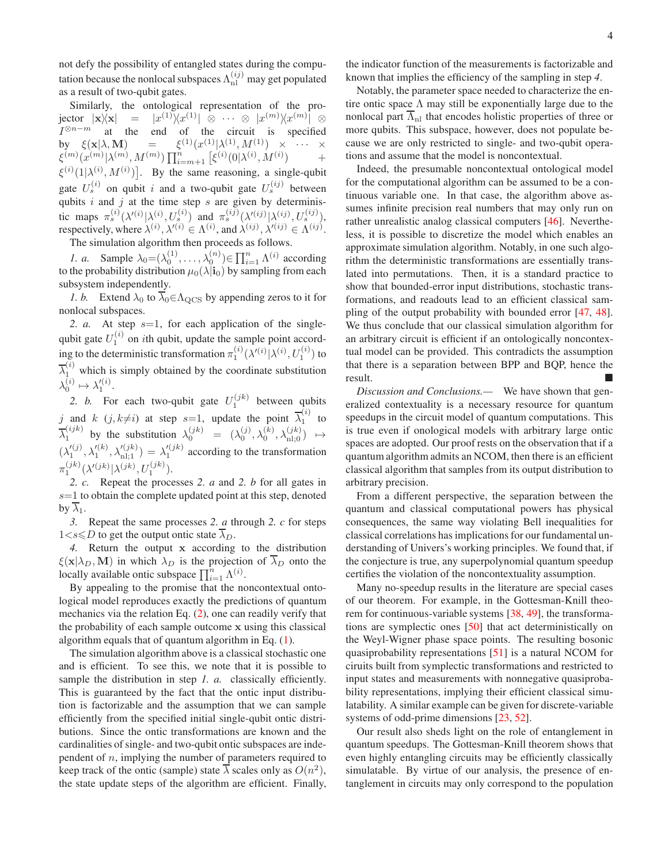not defy the possibility of entangled states during the computation because the nonlocal subspaces  $\Lambda_{\rm nl}^{(ij)}$  may get populated as a result of two-qubit gates.

Similarly, the ontological representation of the projector  $|\mathbf{x}|\mathbf{x}| = |x^{(1)}\rangle\!\langle x^{(1)}| \otimes \cdots \otimes |x^{(m)}\rangle\!\langle x^{(m)}| \otimes$  $I^{\otimes n-m}$  at the end of the circuit is specified by  $\xi(\mathbf{x}|\lambda, \mathbf{M}) = \xi^{(1)}(x^{(1)}|\lambda^{(1)}, M^{(1)}) \times \cdots \times$  $\{\xi^{(m)}(\chi^{(m)}|\lambda^{(m)},M^{(m)})\prod_{i=m+1}^{n} \big[\xi^{(i)}(0|\lambda^{(i)},M^{(i)}) \qquad \quad + \big]$  $\xi^{(i)}(1|\lambda^{(i)}, M^{(i)})$ . By the same reasoning, a single-qubit gate  $U_s^{(i)}$  on qubit i and a two-qubit gate  $U_s^{(ij)}$  between qubits i and j at the time step s are given by deterministic maps  $\pi_s^{(i)}(\lambda'^{(i)}|\lambda^{(i)}, U_s^{(i)})$  and  $\pi_s^{(ij)}(\lambda'^{(ij)}|\lambda^{(ij)}, U_s^{(ij)})$ , respectively, where  $\lambda^{(i)}$ ,  $\lambda'^{(i)} \in \Lambda^{(i)}$ , and  $\lambda^{(ij)}$ ,  $\lambda'^{(ij)} \in \Lambda^{(ij)}$ .

The simulation algorithm then proceeds as follows.

*1. a.* Sample  $\lambda_0 = (\lambda_0^{(1)}, \dots, \lambda_0^{(n)}) \in \prod_{i=1}^n \Lambda^{(i)}$  according to the probability distribution  $\mu_0(\lambda|\mathbf{i}_0)$  by sampling from each subsystem independently.

*1. b.* Extend  $\lambda_0$  to  $\lambda_0 \in \Lambda_{QCS}$  by appending zeros to it for nonlocal subspaces.

2. *a.* At step  $s=1$ , for each application of the singlequbit gate  $U_1^{(i)}$  on *i*th qubit, update the sample point according to the deterministic transformation  $\pi_1^{(i)}(\lambda'^{(i)}|\lambda^{(i)}, U_1^{(i)})$  to  $\overline{\lambda}_1^{(i)}$  which is simply obtained by the coordinate substitution  $\lambda_0^{(i)} \mapsto \lambda_1^{\prime (i)}$ .

2. *b*. For each two-qubit gate  $U_1^{(jk)}$  between qubits j and k  $(j, k\neq i)$  at step s=1, update the point  $\overline{\lambda}_1^{(i)}$  $\int_{1}^{t}$  to  $\overline{\lambda}_1^{(ijk)}$  $\lambda_1^{(ijk)}$  by the substitution  $\lambda_0^{(jk)} = (\lambda_0^{(j)}, \lambda_0^{(k)}, \lambda_{\text{nl};0}^{(jk)}) \mapsto$  $(\lambda_1'^{(j)}, \lambda_1'^{(k)}, \lambda_{\text{nl};1}'^{(jk)}) = \lambda_1'^{(jk)}$  according to the transformation  $\pi_1^{(jk)}(\lambda'^{(jk)}|\lambda^{(jk)}, U_1^{(jk)}).$ 

*2. c.* Repeat the processes *2. a* and *2. b* for all gates in  $s=1$  to obtain the complete updated point at this step, denoted by  $\overline{\lambda}_1$ .

*3.* Repeat the same processes *2. a* through *2. c* for steps  $1 \lt s \le D$  to get the output ontic state  $\overline{\lambda}_D$ .

*4.* Return the output x according to the distribution  $\xi(\mathbf{x}|\lambda_D,\mathbf{M})$  in which  $\lambda_D$  is the projection of  $\overline{\lambda}_D$  onto the locally available ontic subspace  $\prod_{i=1}^{n} \Lambda^{(i)}$ .

By appealing to the promise that the noncontextual ontological model reproduces exactly the predictions of quantum mechanics via the relation Eq. [\(2\)](#page-1-1), one can readily verify that the probability of each sample outcome x using this classical algorithm equals that of quantum algorithm in Eq. [\(1\)](#page-0-0).

The simulation algorithm above is a classical stochastic one and is efficient. To see this, we note that it is possible to sample the distribution in step *1. a.* classically efficiently. This is guaranteed by the fact that the ontic input distribution is factorizable and the assumption that we can sample efficiently from the specified initial single-qubit ontic distributions. Since the ontic transformations are known and the cardinalities of single- and two-qubit ontic subspaces are independent of  $n$ , implying the number of parameters required to keep track of the ontic (sample) state  $\overline{\lambda}$  scales only as  $O(n^2)$ , the state update steps of the algorithm are efficient. Finally,

the indicator function of the measurements is factorizable and known that implies the efficiency of the sampling in step *4*.

Notably, the parameter space needed to characterize the entire ontic space  $\Lambda$  may still be exponentially large due to the nonlocal part  $\overline{\Lambda}_{nl}$  that encodes holistic properties of three or more qubits. This subspace, however, does not populate because we are only restricted to single- and two-qubit operations and assume that the model is noncontextual.

Indeed, the presumable noncontextual ontological model for the computational algorithm can be assumed to be a continuous variable one. In that case, the algorithm above assumes infinite precision real numbers that may only run on rather unrealistic analog classical computers [\[46](#page-5-7)]. Nevertheless, it is possible to discretize the model which enables an approximate simulation algorithm. Notably, in one such algorithm the deterministic transformations are essentially translated into permutations. Then, it is a standard practice to show that bounded-error input distributions, stochastic transformations, and readouts lead to an efficient classical sampling of the output probability with bounded error [\[47](#page-5-8), [48](#page-5-9)]. We thus conclude that our classical simulation algorithm for an arbitrary circuit is efficient if an ontologically noncontextual model can be provided. This contradicts the assumption that there is a separation between BPP and BQP, hence the result.

*Discussion and Conclusions.—* We have shown that generalized contextuality is a necessary resource for quantum speedups in the circuit model of quantum computations. This is true even if onological models with arbitrary large ontic spaces are adopted. Our proof rests on the observation that if a quantum algorithm admits an NCOM, then there is an efficient classical algorithm that samples from its output distribution to arbitrary precision.

From a different perspective, the separation between the quantum and classical computational powers has physical consequences, the same way violating Bell inequalities for classical correlations has implications for our fundamental understanding of Univers's working principles. We found that, if the conjecture is true, any superpolynomial quantum speedup certifies the violation of the noncontextuality assumption.

Many no-speedup results in the literature are special cases of our theorem. For example, in the Gottesman-Knill theorem for continuous-variable systems [\[38,](#page-5-0) [49\]](#page-5-10), the transformations are symplectic ones [\[50](#page-5-11)] that act deterministically on the Weyl-Wigner phase space points. The resulting bosonic quasiprobability representations [\[51](#page-5-12)] is a natural NCOM for ciruits built from symplectic transformations and restricted to input states and measurements with nonnegative quasiprobability representations, implying their efficient classical simulatability. A similar example can be given for discrete-variable systems of odd-prime dimensions [\[23](#page-4-15), [52\]](#page-5-13).

Our result also sheds light on the role of entanglement in quantum speedups. The Gottesman-Knill theorem shows that even highly entangling circuits may be efficiently classically simulatable. By virtue of our analysis, the presence of entanglement in circuits may only correspond to the population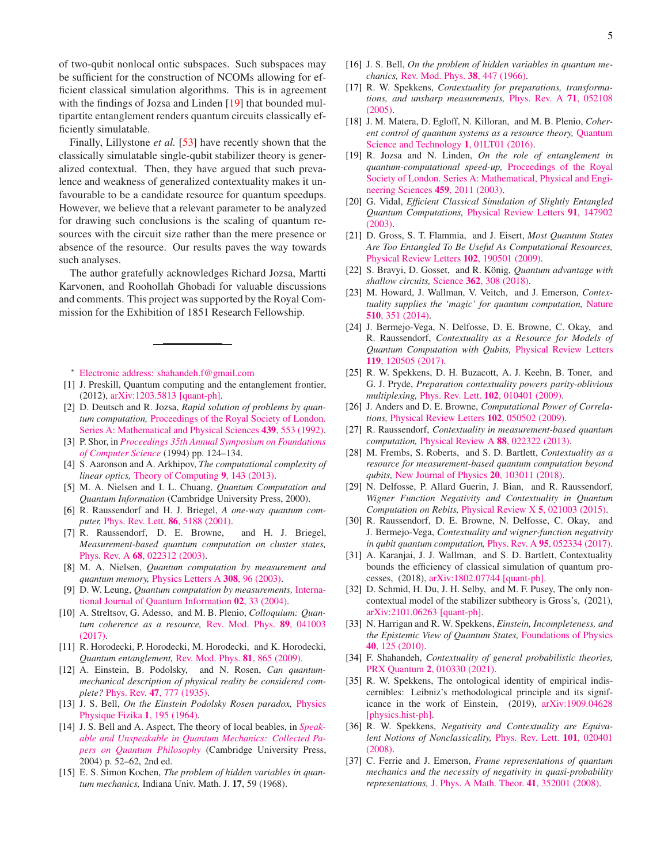of two-qubit nonlocal ontic subspaces. Such subspaces may be sufficient for the construction of NCOMs allowing for efficient classical simulation algorithms. This is in agreement with the findings of Jozsa and Linden [\[19\]](#page-4-22) that bounded multipartite entanglement renders quantum circuits classically efficiently simulatable.

Finally, Lillystone *et al.* [\[53](#page-5-14)] have recently shown that the classically simulatable single-qubit stabilizer theory is generalized contextual. Then, they have argued that such prevalence and weakness of generalized contextuality makes it unfavourable to be a candidate resource for quantum speedups. However, we believe that a relevant parameter to be analyzed for drawing such conclusions is the scaling of quantum resources with the circuit size rather than the mere presence or absence of the resource. Our results paves the way towards such analyses.

The author gratefully acknowledges Richard Jozsa, Martti Karvonen, and Roohollah Ghobadi for valuable discussions and comments. This project was supported by the Royal Commission for the Exhibition of 1851 Research Fellowship.

<span id="page-4-0"></span><sup>∗</sup> [Electronic address: shahandeh.f@gmail.com](mailto:Electronic address: shahandeh.f@gmail.com)

- <span id="page-4-1"></span>[1] J. Preskill, Quantum computing and the entanglement frontier, (2012), [arXiv:1203.5813 \[quant-ph\].](http://arxiv.org/abs/1203.5813)
- [2] D. Deutsch and R. Jozsa, *Rapid solution of problems by quantum computation,* Proceedings of the Royal Society of London. Series A: Mathematical and Physical Sciences 439, 553 (1992).
- [3] P. Shor, in *Proceedings 35th Annual Symposium on Foundations of Computer Science* (1994) pp. 124–134.
- <span id="page-4-2"></span>[4] S. Aaronson and A. Arkhipov, *The computational complexity of linear optics,* [Theory of Computing](http://dx.doi.org/10.4086/toc.2013.v009a004) 9, 143 (2013).
- <span id="page-4-3"></span>[5] M. A. Nielsen and I. L. Chuang, *Quantum Computation and Quantum Information* (Cambridge University Press, 2000).
- <span id="page-4-4"></span>[6] R. Raussendorf and H. J. Briegel, *A one-way quantum computer,* [Phys. Rev. Lett.](http://dx.doi.org/10.1103/PhysRevLett.86.5188) 86, 5188 (2001).
- <span id="page-4-12"></span>[7] R. Raussendorf, D. E. Browne, and H. J. Briegel, *Measurement-based quantum computation on cluster states,* Phys. Rev. A 68[, 022312 \(2003\).](http://dx.doi.org/ 10.1103/PhysRevA.68.022312)
- [8] M. A. Nielsen, *Quantum computation by measurement and quantum memory,* [Physics Letters A](http://dx.doi.org/ https://doi.org/10.1016/S0375-9601(02)01803-0) 308, 96 (2003).
- <span id="page-4-5"></span>[9] D. W. Leung, *Quantum computation by measurements,* International Journal of Quantum Information 02, 33 (2004)[.](http://dx.doi.org/10.1142/S0219749904000055)
- <span id="page-4-6"></span>[10] A. Streltsov, G. Adesso, and M. B. Plenio, *Colloquium: Quantum coherence as a resource,* Rev. Mod. Phys. 89, 041003 (2017).
- <span id="page-4-7"></span>[11] R. Horodecki, P. Horodecki, M. Horodecki, and K. Horodecki, *Quantum entanglement,* [Rev. Mod. Phys.](http://dx.doi.org/10.1103/RevModPhys.81.865) 81, 865 (2009).
- <span id="page-4-8"></span>[12] A. Einstein, B. Podolsky, and N. Rosen, *Can quantummechanical description of physical reality be considered complete?* Phys. Rev. 47[, 777 \(1935\).](http://dx.doi.org/ 10.1103/PhysRev.47.777)
- [13] J. S. Bell, *On the Einstein Podolsky Rosen paradox,* Physics Physique Fizika 1, 195 (1964)[.](http://dx.doi.org/ 10.1103/PhysicsPhysiqueFizika.1.195)
- <span id="page-4-9"></span>[14] J. S. Bell and A. Aspect, The theory of local beables, in *Speakable and Unspeakable in Qua[ntum Mechanics: Collect](http://dx.doi.org/ 10.1017/CBO9780511815676.009)ed Papers on Quantum Philosophy* (Cambridge University Press, 2004) p. 52–62, 2nd ed.
- <span id="page-4-10"></span>[15] E. S. Simon Kochen, *The problem of hidden variables in quantum mechanics,* Indiana Univ. Math. J. 17, 59 (1968).
- [16] J. S. Bell, *On the problem of hidden variables in quantum mechanics,* [Rev. Mod. Phys.](http://dx.doi.org/ 10.1103/RevModPhys.38.447) 38, 447 (1966).
- <span id="page-4-11"></span>[17] R. W. Spekkens, *Contextuality for preparations, transformations, and unsharp measurements,* Phys. Rev. A 71, 052108 (2005)[.](http://dx.doi.org/10.1103/PhysRevA.71.052108)
- <span id="page-4-13"></span>[18] J. M. Matera, D. Egloff, N. Killoran, and M. B. Plenio, *Coherent control of quantum systems as a resource theory,* Quantum Science and Technology 1, 01LT01 (2016).
- <span id="page-4-22"></span>[19] R. Jozsa and N. Linden, *On the role of entanglement in quantum-computational speed-up,* Proceedings of the Royal Society of London. Series A: Math[e](http://dx.doi.org/10.1098/rspa.2002.1097)matical, Physical and Engineering Sciences 459, 2011 (2003).
- [20] G. Vidal, *Efficient Classical Simulation of Slightly Entangled Quantum Computations,* Physical Review Letters 91, 147902 (2003).
- [21] D. Gross, S. T. Flammia, and J. Eisert, *Most Quantum States Are Too Entangled To Be Useful As Computational Resources,* [Physical Review Letters](http://dx.doi.org/ 10.1103/PhysRevLett.102.190501) 102, 190501 (2009).
- [22] S. Bravyi, D. Gosset, and R. König, *Quantum advantage with shallow circuits,* Science 362[, 308 \(2018\).](http://dx.doi.org/10.1126/science.aar3106)
- <span id="page-4-15"></span>[23] M. Howard, J. Wallman, V. Veitch, and J. Emerson, *Contextuality supplies the 'magic' for quantum computation,* Nature 510, 351 (2014).
- <span id="page-4-14"></span>[24] J. Bermejo-Vega, N. Delfosse, D. E. Browne, C. Okay, and R. Raussendorf, *Contextuality as a Resource for Models of Quantum Computation with Qubits,* Physical Review Letters 119, 120505 (2017)[.](http://dx.doi.org/ 10.1103/PhysRevLett.119.120505)
- <span id="page-4-16"></span>[25] R. W. Spekkens, D. H. Buzacott, A. J. Keehn, B. Toner, and G. J. Pryde, *Preparation contextuality powers parity-oblivious multiplexing,* Phys. Rev. Lett. 102[, 010401 \(2009\).](http://dx.doi.org/10.1103/PhysRevLett.102.010401)
- <span id="page-4-17"></span>[26] J. Anders and D. E. Browne, *Computational Power of Correlations,* [Physical Review Letters](http://dx.doi.org/10.1103/PhysRevLett.102.050502) 102, 050502 (2009).
- <span id="page-4-18"></span>[27] R. Raussendorf, *Contextuality in measurement-based quantum computation,* [Physical Review A](http://dx.doi.org/ 10.1103/PhysRevA.88.022322) 88, 022322 (2013).
- <span id="page-4-19"></span>[28] M. Frembs, S. Roberts, and S. D. Bartlett, *Contextuality as a resource for measurement-based quantum computation beyond qubits,* [New Journal of Physics](http://dx.doi.org/ 10.1088/1367-2630/aae3ad) 20, 103011 (2018).
- <span id="page-4-20"></span>[29] N. Delfosse, P. Allard Guerin, J. Bian, and R. Raussendorf, *Wigner Function Negativity and Contextuality in Quantum Computation on Rebits,* [Physical Review X](http://dx.doi.org/ 10.1103/PhysRevX.5.021003) 5, 021003 (2015).
- [30] R. Raussendorf, D. E. Browne, N. Delfosse, C. Okay, and J. Bermejo-Vega, *Contextuality and wigner-function negativity in qubit quantum computation,* Phys. Rev. A 95[, 052334 \(2017\).](http://dx.doi.org/ 10.1103/PhysRevA.95.052334)
- [31] A. Karanjai, J. J. Wallman, and S. D. Bartlett, Contextuality bounds the efficiency of classical simulation of quantum processes, (2018), [arXiv:1802.07744 \[quant-ph\].](http://arxiv.org/abs/1802.07744)
- <span id="page-4-21"></span>[32] D. Schmid, H. Du, J. H. Selby, and M. F. Pusey, The only noncontextual model of the stabilizer subtheory is Gross's, (2021), [arXiv:2101.06263 \[quant-ph\].](http://arxiv.org/abs/2101.06263)
- <span id="page-4-23"></span>[33] N. Harrigan and R. W. Spekkens, *Einstein, Incompleteness, and the Epistemic View of Quantum States,* Foundations of Physics 40, 125 (2010).
- <span id="page-4-24"></span>[34] F. Shahandeh, *Contextuality of general probabilistic theories,* PRX Quantum 2[, 010330 \(2021\).](http://dx.doi.org/ 10.1103/PRXQuantum.2.010330)
- <span id="page-4-25"></span>[35] R. W. Spekkens, The ontological identity of empirical indiscernibles: Leibniz's methodological principle and its significance in the work of Einstein, (2019), arXiv:1909.04628 [physics.hist-ph].
- <span id="page-4-26"></span>[36] R. W. Spekkens, *Negativity and Contextuality are Equivalent Notions of Nonclassicality,* Phys. Rev. Lett. 101, 020401 (2008)[.](http://link.aps.org/doi/10.1103/PhysRevLett.101.020401 https://link.aps.org/doi/10.1103/PhysRevLett.101.020401)
- <span id="page-4-27"></span>[37] C. Ferrie and J. Emerson, *Frame representations of quantum mechanics and the necessity of negativity in quasi-probability representations,* [J. Phys. A Math. Theor.](http://stacks.iop.org/1751-8121/41/i=35/a=352001?key=crossref.4e3326cdd489b228f8ff4b24ea0776dd) 41, 352001 (2008).